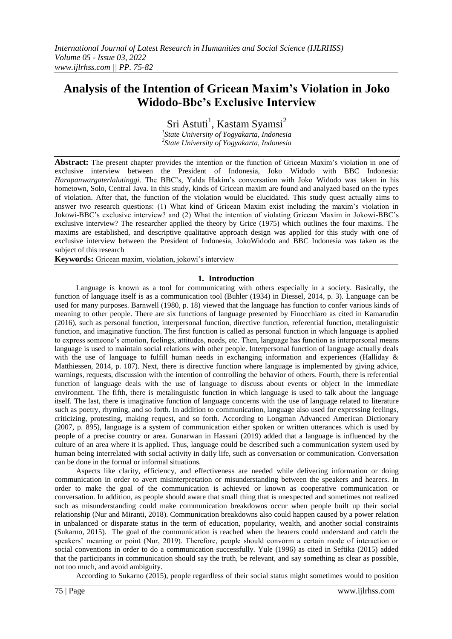# **Analysis of the Intention of Gricean Maxim's Violation in Joko Widodo-Bbc's Exclusive Interview**

Sri Astuti<sup>1</sup>, Kastam Syamsi<sup>2</sup>

*1 State University of Yogyakarta, Indonesia 2 State University of Yogyakarta, Indonesia*

**Abstract:** The present chapter provides the intention or the function of Gricean Maxim"s violation in one of exclusive interview between the President of Indonesia, Joko Widodo with BBC Indonesia: *Harapanwargaterlalutinggi*. The BBC"s, Yalda Hakim"s conversation with Joko Widodo was taken in his hometown, Solo, Central Java. In this study, kinds of Gricean maxim are found and analyzed based on the types of violation. After that, the function of the violation would be elucidated. This study quest actually aims to answer two research questions: (1) What kind of Gricean Maxim exist including the maxim"s violation in Jokowi-BBC"s exclusive interview? and (2) What the intention of violating Gricean Maxim in Jokowi-BBC"s exclusive interview? The researcher applied the theory by Grice (1975) which outlines the four maxims. The maxims are established, and descriptive qualitative approach design was applied for this study with one of exclusive interview between the President of Indonesia, JokoWidodo and BBC Indonesia was taken as the subject of this research

**Keywords:** Gricean maxim, violation, jokowi's interview

## **1. Introduction**

Language is known as a tool for communicating with others especially in a society. Basically, the function of language itself is as a communication tool (Buhler (1934) in Diessel, 2014, p. 3). Language can be used for many purposes. Barnwell (1980, p. 18) viewed that the language has function to confer various kinds of meaning to other people. There are six functions of language presented by Finocchiaro as cited in Kamarudin (2016), such as personal function, interpersonal function, directive function, referential function, metalinguistic function, and imaginative function. The first function is called as personal function in which language is applied to express someone"s emotion, feelings, attitudes, needs, etc. Then, language has function as interpersonal means language is used to maintain social relations with other people. Interpersonal function of language actually deals with the use of language to fulfill human needs in exchanging information and experiences (Halliday & Matthiessen, 2014, p. 107). Next, there is directive function where language is implemented by giving advice, warnings, requests, discussion with the intention of controlling the behavior of others. Fourth, there is referential function of language deals with the use of language to discuss about events or object in the immediate environment. The fifth, there is metalinguistic function in which language is used to talk about the language itself. The last, there is imaginative function of language concerns with the use of language related to literature such as poetry, rhyming, and so forth. In addition to communication, language also used for expressing feelings, criticizing, protesting, making request, and so forth. According to Longman Advanced American Dictionary (2007, p. 895), language is a system of communication either spoken or written utterances which is used by people of a precise country or area. Gunarwan in Hassani (2019) added that a language is influenced by the culture of an area where it is applied. Thus, language could be described such a communication system used by human being interrelated with social activity in daily life, such as conversation or communication. Conversation can be done in the formal or informal situations.

Aspects like clarity, efficiency, and effectiveness are needed while delivering information or doing communication in order to avert misinterpretation or misunderstanding between the speakers and hearers. In order to make the goal of the communication is achieved or known as cooperative communication or conversation. In addition, as people should aware that small thing that is unexpected and sometimes not realized such as misunderstanding could make communication breakdowns occur when people built up their social relationship (Nur and Miranti, 2018). Communication breakdowns also could happen caused by a power relation in unbalanced or disparate status in the term of education, popularity, wealth, and another social constraints (Sukarno, 2015). The goal of the communication is reached when the hearers could understand and catch the speakers' meaning or point (Nur, 2019). Therefore, people should convorm a certain mode of interaction or social conventions in order to do a communication successfully. Yule (1996) as cited in Seftika (2015) added that the participants in communication should say the truth, be relevant, and say something as clear as possible, not too much, and avoid ambiguity.

According to Sukarno (2015), people regardless of their social status might sometimes would to position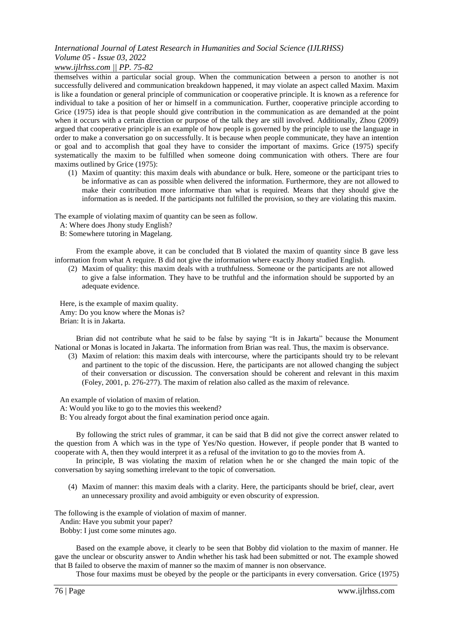## *www.ijlrhss.com || PP. 75-82*

themselves within a particular social group. When the communication between a person to another is not successfully delivered and communication breakdown happened, it may violate an aspect called Maxim. Maxim is like a foundation or general principle of communication or cooperative principle. It is known as a reference for individual to take a position of her or himself in a communication. Further, cooperative principle according to Grice (1975) idea is that people should give contribution in the communication as are demanded at the point when it occurs with a certain direction or purpose of the talk they are still involved. Additionally, Zhou (2009) argued that cooperative principle is an example of how people is governed by the principle to use the language in order to make a conversation go on successfully. It is because when people communicate, they have an intention or goal and to accomplish that goal they have to consider the important of maxims. Grice (1975) specify systematically the maxim to be fulfilled when someone doing communication with others. There are four maxims outlined by Grice (1975):

(1) Maxim of quantity: this maxim deals with abundance or bulk. Here, someone or the participant tries to be informative as can as possible when delivered the information. Furthermore, they are not allowed to make their contribution more informative than what is required. Means that they should give the information as is needed. If the participants not fulfilled the provision, so they are violating this maxim.

The example of violating maxim of quantity can be seen as follow.

A: Where does Jhony study English?

B: Somewhere tutoring in Magelang.

From the example above, it can be concluded that B violated the maxim of quantity since B gave less information from what A require. B did not give the information where exactly Jhony studied English.

(2) Maxim of quality: this maxim deals with a truthfulness. Someone or the participants are not allowed to give a false information. They have to be truthful and the information should be supported by an adequate evidence.

Here, is the example of maxim quality. Amy: Do you know where the Monas is? Brian: It is in Jakarta.

Brian did not contribute what he said to be false by saying "It is in Jakarta" because the Monument National or Monas is located in Jakarta. The information from Brian was real. Thus, the maxim is observance.

(3) Maxim of relation: this maxim deals with intercourse, where the participants should try to be relevant and partinent to the topic of the discussion. Here, the participants are not allowed changing the subject of their conversation or discussion. The conversation should be coherent and relevant in this maxim (Foley, 2001, p. 276-277). The maxim of relation also called as the maxim of relevance.

An example of violation of maxim of relation.

- A: Would you like to go to the movies this weekend?
- B: You already forgot about the final examination period once again.

By following the strict rules of grammar, it can be said that B did not give the correct answer related to the question from A which was in the type of Yes/No question. However, if people ponder that B wanted to cooperate with A, then they would interpret it as a refusal of the invitation to go to the movies from A.

In principle, B was violating the maxim of relation when he or she changed the main topic of the conversation by saying something irrelevant to the topic of conversation.

(4) Maxim of manner: this maxim deals with a clarity. Here, the participants should be brief, clear, avert an unnecessary proxility and avoid ambiguity or even obscurity of expression.

The following is the example of violation of maxim of manner.

Andin: Have you submit your paper?

Bobby: I just come some minutes ago.

Based on the example above, it clearly to be seen that Bobby did violation to the maxim of manner. He gave the unclear or obscurity answer to Andin whether his task had been submitted or not. The example showed that B failed to observe the maxim of manner so the maxim of manner is non observance.

Those four maxims must be obeyed by the people or the participants in every conversation. Grice (1975)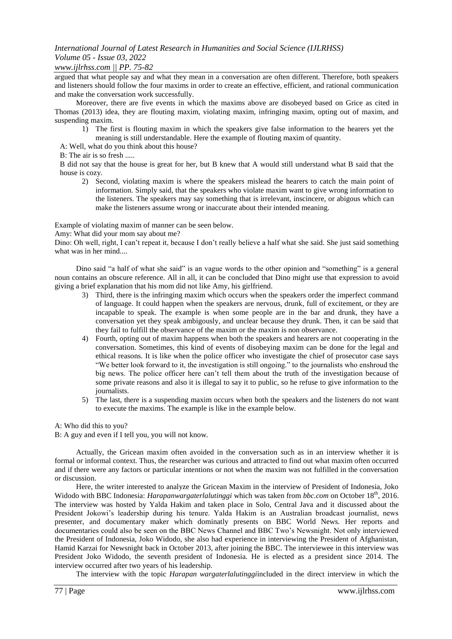## *www.ijlrhss.com || PP. 75-82*

argued that what people say and what they mean in a conversation are often different. Therefore, both speakers and listeners should follow the four maxims in order to create an effective, efficient, and rational communication and make the conversation work successfully.

Moreover, there are five events in which the maxims above are disobeyed based on Grice as cited in Thomas (2013) idea, they are flouting maxim, violating maxim, infringing maxim, opting out of maxim, and suspending maxim.

- 1) The first is flouting maxim in which the speakers give false information to the hearers yet the meaning is still understandable. Here the example of flouting maxim of quantity.
- A: Well, what do you think about this house?

B: The air is so fresh .....

B did not say that the house is great for her, but B knew that A would still understand what B said that the house is cozy.

2) Second, violating maxim is where the speakers mislead the hearers to catch the main point of information. Simply said, that the speakers who violate maxim want to give wrong information to the listeners. The speakers may say something that is irrelevant, inscincere, or abigous which can make the listeners assume wrong or inaccurate about their intended meaning.

Example of violating maxim of manner can be seen below.

Amy: What did your mom say about me?

Dino: Oh well, right, I can't repeat it, because I don't really believe a half what she said. She just said something what was in her mind....

Dino said "a half of what she said" is an vague words to the other opinion and "something" is a general noun contains an obscure reference. All in all, it can be concluded that Dino might use that expression to avoid giving a brief explanation that his mom did not like Amy, his girlfriend.

- 3) Third, there is the infringing maxim which occurs when the speakers order the imperfect command of language. It could happen when the speakers are nervous, drunk, full of excitement, or they are incapable to speak. The example is when some people are in the bar and drunk, they have a conversation yet they speak ambigously, and unclear because they drunk. Then, it can be said that they fail to fulfill the observance of the maxim or the maxim is non observance.
- 4) Fourth, opting out of maxim happens when both the speakers and hearers are not cooperating in the conversation. Sometimes, this kind of events of disobeying maxim can be done for the legal and ethical reasons. It is like when the police officer who investigate the chief of prosecutor case says "We better look forward to it, the investigation is still ongoing." to the journalists who enshroud the big news. The police officer here can"t tell them about the truth of the investigation because of some private reasons and also it is illegal to say it to public, so he refuse to give information to the journalists.
- 5) The last, there is a suspending maxim occurs when both the speakers and the listeners do not want to execute the maxims. The example is like in the example below.

A: Who did this to you?

B: A guy and even if I tell you, you will not know.

Actually, the Gricean maxim often avoided in the conversation such as in an interview whether it is formal or informal context. Thus, the researcher was curious and attracted to find out what maxim often occurred and if there were any factors or particular intentions or not when the maxim was not fulfilled in the conversation or discussion.

Here, the writer interested to analyze the Gricean Maxim in the interview of President of Indonesia, Joko Widodo with BBC Indonesia: *Harapanwargaterlalutinggi* which was taken from *bbc.com* on October 18th, 2016. The interview was hosted by Yalda Hakim and taken place in Solo, Central Java and it discussed about the President Jokowi"s leadership during his tenure. Yalda Hakim is an Australian broadcast journalist, news presenter, and documentary maker which dominatly presents on BBC World News. Her reports and documentaries could also be seen on the BBC News Channel and BBC Two"s Newsnight. Not only interviewed the President of Indonesia, Joko Widodo, she also had experience in interviewing the President of Afghanistan, Hamid Karzai for Newsnight back in October 2013, after joining the BBC. The interviewee in this interview was President Joko Widodo, the seventh president of Indonesia. He is elected as a president since 2014. The interview occurred after two years of his leadership.

The interview with the topic *Harapan wargaterlalutinggi*included in the direct interview in which the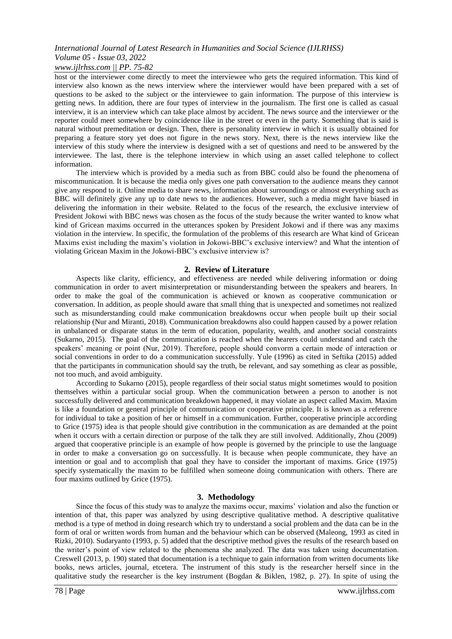## *www.ijlrhss.com || PP. 75-82*

host or the interviewer come directly to meet the interviewee who gets the required information. This kind of interview also known as the news interview where the interviewer would have been prepared with a set of questions to be asked to the subject or the interviewee to gain information. The purpose of this interview is getting news. In addition, there are four types of interview in the journalism. The first one is called as casual interview, it is an interview which can take place almost by accident. The news source and the interviewer or the reporter could meet somewhere by coincidence like in the street or even in the party. Something that is said is natural without premeditation or design. Then, there is personality interview in which it is usually obtained for preparing a feature story yet does not figure in the news story. Next, there is the news interview like the interview of this study where the interview is designed with a set of questions and need to be answered by the interviewee. The last, there is the telephone interview in which using an asset called telephone to collect information.

The interview which is provided by a media such as from BBC could also be found the phenomena of miscommunication. It is because the media only gives one path conversation to the audience means they cannot give any respond to it. Online media to share news, information about surroundings or almost everything such as BBC will definitely give any up to date news to the audiences. However, such a media might have biased in delivering the information in their website. Related to the focus of the research, the exclusive interview of President Jokowi with BBC news was chosen as the focus of the study because the writer wanted to know what kind of Gricean maxims occurred in the utterances spoken by President Jokowi and if there was any maxims violation in the interview. In specific, the formulation of the problems of this research are What kind of Gricean Maxims exist including the maxim"s violation in Jokowi-BBC"s exclusive interview? and What the intention of violating Gricean Maxim in the Jokowi-BBC"s exclusive interview is?

#### **2. Review of Literature**

Aspects like clarity, efficiency, and effectiveness are needed while delivering information or doing communication in order to avert misinterpretation or misunderstanding between the speakers and hearers. In order to make the goal of the communication is achieved or known as cooperative communication or conversation. In addition, as people should aware that small thing that is unexpected and sometimes not realized such as misunderstanding could make communication breakdowns occur when people built up their social relationship (Nur and Miranti, 2018). Communication breakdowns also could happen caused by a power relation in unbalanced or disparate status in the term of education, popularity, wealth, and another social constraints (Sukarno, 2015). The goal of the communication is reached when the hearers could understand and catch the speakers' meaning or point (Nur, 2019). Therefore, people should convorm a certain mode of interaction or social conventions in order to do a communication successfully. Yule (1996) as cited in Seftika (2015) added that the participants in communication should say the truth, be relevant, and say something as clear as possible, not too much, and avoid ambiguity.

According to Sukarno (2015), people regardless of their social status might sometimes would to position themselves within a particular social group. When the communication between a person to another is not successfully delivered and communication breakdown happened, it may violate an aspect called Maxim. Maxim is like a foundation or general principle of communication or cooperative principle. It is known as a reference for individual to take a position of her or himself in a communication. Further, cooperative principle according to Grice (1975) idea is that people should give contribution in the communication as are demanded at the point when it occurs with a certain direction or purpose of the talk they are still involved. Additionally, Zhou (2009) argued that cooperative principle is an example of how people is governed by the principle to use the language in order to make a conversation go on successfully. It is because when people communicate, they have an intention or goal and to accomplish that goal they have to consider the important of maxims. Grice (1975) specify systematically the maxim to be fulfilled when someone doing communication with others. There are four maxims outlined by Grice (1975).

## **3. Methodology**

Since the focus of this study was to analyze the maxims occur, maxims' violation and also the function or intention of that, this paper was analyzed by using descriptive qualitative method. A descriptive qualitative method is a type of method in doing research which try to understand a social problem and the data can be in the form of oral or written words from human and the behaviour which can be observed (Maleong, 1993 as cited in Rizki, 2010). Sudaryanto (1993, p. 5) added that the descriptive method gives the results of the research based on the writer"s point of view related to the phenomena she analyzed. The data was taken using documentation. Creswell (2013, p. 190) stated that documentation is a technique to gain information from written documents like books, news articles, journal, etcetera. The instrument of this study is the researcher herself since in the qualitative study the researcher is the key instrument (Bogdan & Biklen, 1982, p. 27). In spite of using the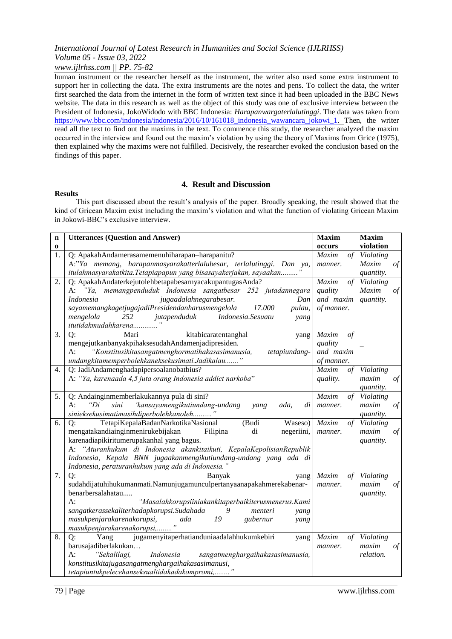## *www.ijlrhss.com || PP. 75-82*

human instrument or the researcher herself as the instrument, the writer also used some extra instrument to support her in collecting the data. The extra instruments are the notes and pens. To collect the data, the writer first searched the data from the internet in the form of written text since it had been uploaded in the BBC News website. The data in this research as well as the object of this study was one of exclusive interview between the President of Indonesia, JokoWidodo with BBC Indonesia: *Harapanwargaterlalutinggi*. The data was taken from [https://www.bbc.com/indonesia/indonesia/2016/10/161018\\_indonesia\\_wawancara\\_jokowi\\_1.](https://www.bbc.com/indonesia/indonesia/2016/10/161018_indonesia_wawancara_jokowi_1) Then, the writer read all the text to find out the maxims in the text. To commence this study, the researcher analyzed the maxim occurred in the interview and found out the maxim"s violation by using the theory of Maxims from Grice (1975), then explained why the maxims were not fulfilled. Decisively, the researcher evoked the conclusion based on the findings of this paper.

#### **Results**

## **4. Result and Discussion**

This part discussed about the result's analysis of the paper. Broadly speaking, the result showed that the kind of Gricean Maxim exist including the maxim"s violation and what the function of violating Gricean Maxim in Jokowi-BBC"s exclusive interview.

| $\mathbf n$ | <b>Utterances (Question and Answer)</b>                                                                               | <b>Maxim</b>                 | <b>Maxim</b><br>violation |
|-------------|-----------------------------------------------------------------------------------------------------------------------|------------------------------|---------------------------|
| 0<br>1.     | Q: ApakahAndamerasamemenuhiharapan-harapanitu?                                                                        | occurs<br>Maxim<br>$\circ f$ | Violating                 |
|             | A:"Ya memang, harapanmasyarakatterlalubesar, terlalutinggi. Dan ya,                                                   | manner.                      | $\circ f$<br>Maxim        |
|             | itulahmasyarakatkita. Tetapiapapun yang bisasayakerjakan, sayaakan                                                    |                              | quantity.                 |
| 2.          | Q: ApakahAndaterkejutolehbetapabesarnyacakupantugasAnda?                                                              | Maxim<br>of                  | Violating                 |
|             | A: "Ya, memangpenduduk Indonesia sangatbesar 252 jutadannegara                                                        | quality                      | Maxim<br>$\int$           |
|             | jugaadalahnegarabesar.<br><i>Indonesia</i><br>Dan                                                                     | and maxim                    | quantity.                 |
|             | sayamemangkagetjugajadiPresidendanharusmengelola<br>17.000<br>pulau,                                                  | of manner.                   |                           |
|             | jutapenduduk<br>Indonesia.Sesuatu<br>mengelola<br>252<br>yang                                                         |                              |                           |
|             | itutidakmudahkarena                                                                                                   |                              |                           |
| 3.          | Q:<br>kitabicaratentanghal<br>Mari<br>yang                                                                            | Maxim<br>$\circ f$           |                           |
|             | mengejutkanbanyakpihaksesudahAndamenjadipresiden.                                                                     | quality                      |                           |
|             | "Konstitusikitasangatmenghormatihakasasimanusia,<br>A:<br>tetapiundang-                                               | and maxim                    |                           |
|             | undangkitamemperbolehkaneksekusimati.Jadikalau"                                                                       | of manner.                   |                           |
| 4.          | Q: JadiAndamenghadapipersoalanobatbius?                                                                               | Maxim<br>of                  | Violating                 |
|             | A: "Ya, karenaada 4,5 juta orang Indonesia addict narkoba"                                                            | quality.                     | $\circ f$<br>maxim        |
|             |                                                                                                                       |                              | quantity.                 |
| 5.          | Q: Andainginmemberlakukannya pula di sini?                                                                            | Maxim<br>$\int$              | Violating                 |
|             | 'kansayamengikutiundang-undang<br>sini<br>$A$ :<br>" $Di$<br>di<br>yang<br>ada,                                       | manner.                      | $\circ f$<br>maxim        |
|             | sinieksekusimatimasihdiperbolehkanoleh"                                                                               |                              | quantity.                 |
| 6.          | TetapiKepalaBadanNarkotikaNasional<br>(Budi<br>Waseso)<br>Q:                                                          | Maxim<br>$\circ f$           | Violating                 |
|             | mengatakandiainginmenirukebijakan<br>di<br>Filipina<br>negeriini,                                                     | manner.                      | maxim<br>$\circ f$        |
|             | karenadiapikiritumerupakanhal yang bagus.                                                                             |                              | quantity.                 |
|             | A: "Aturanhukum di Indonesia akankitaikuti, KepalaKepolisianRepublik                                                  |                              |                           |
|             | Indonesia, Kepala BNN jugaakanmengikutiundang-undang yang ada di<br>Indonesia, peraturanhukum yang ada di Indonesia." |                              |                           |
| 7.          | Q:<br>Banyak<br>yang                                                                                                  | Maxim<br>$\circ f$           | Violating                 |
|             | sudahdijatuhihukumanmati.Namunjugamunculpertanyaanapakahmerekabenar-                                                  | manner.                      | maxim<br>$\circ f$        |
|             | benarbersalahatau                                                                                                     |                              | quantity.                 |
|             | $A$ :<br>"Masalahkorupsiiniakankitaperbaikiterusmenerus. Kami                                                         |                              |                           |
|             | sangatkerassekaliterhadapkorupsi.Sudahada<br>9<br>menteri<br>yang                                                     |                              |                           |
|             | masukpenjarakarenakorupsi,<br>19<br>ada<br>gubernur<br>yang                                                           |                              |                           |
|             | masukpenjarakarenakorupsi,                                                                                            |                              |                           |
| 8.          | jugamenyitaperhatianduniaadalahhukumkebiri<br>Q:<br>Yang<br>yang                                                      | Maxim<br>$\circ f$           | Violating                 |
|             | barusajadiberlakukan                                                                                                  | manner.                      | maxim<br>$\int$           |
|             | "Sekalilagi,<br>A:<br>Indonesia<br>sangatmenghargaihakasasimanusia,                                                   |                              | relation.                 |
|             | konstitusikitajugasangatmenghargaihakasasimanusi,                                                                     |                              |                           |
|             | tetapiuntukpelecehanseksualtidakadakompromi,                                                                          |                              |                           |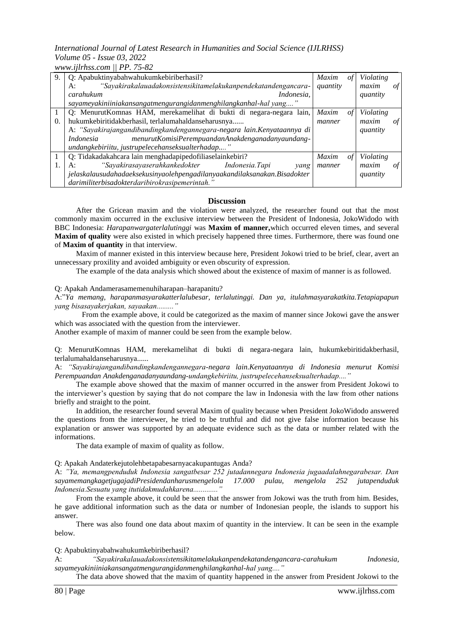*www.ijlrhss.com || PP. 75-82*

| 9.         | Q: Apabuktinyabahwahukumkebiriberhasil?                                  | <b>Maxim</b> | οt | Violating |    |
|------------|--------------------------------------------------------------------------|--------------|----|-----------|----|
|            | "Sayakirakalauadakonsistensikitamelakukanpendekatandengancara-<br>A:     | quantity     |    | maxim     | οt |
|            | Indonesia,<br>carahukum                                                  |              |    | quantity  |    |
|            | sayameyakiniiniakansangatmengurangidanmenghilangkanhal-hal yang"         |              |    |           |    |
|            | Q: MenurutKomnas HAM, merekamelihat di bukti di negara-negara lain,      | <b>Maxim</b> | οt | Violating |    |
| $\Omega$ . | hukumkebiritidakberhasil, terlalumahaldanseharusnya                      | manner       |    | maxim     | οf |
|            | A: "Sayakirajangandibandingkandengannegara-negara lain. Kenyataannya di  |              |    | quantity  |    |
|            | menurutKomisiPerempuandanAnakdenganadanyaundang-<br>Indonesia            |              |    |           |    |
|            | undangkebiriitu, justrupelecehanseksualterhadap"                         |              |    |           |    |
|            | Q: Tidakadakahcara lain menghadapipedofiliaselainkebiri?                 | <b>Maxim</b> | οt | Violating |    |
|            | "Sayakirasayaserahkankedokter Indonesia.Tapi<br>A:<br>yang               | manner       |    | maxim     | οt |
|            | jelaskalausudahadaeksekusinyaolehpengadilanyaakandilaksanakan.Bisadokter |              |    | quantity  |    |
|            | darimiliterbisadokterdaribirokrasipemerintah."                           |              |    |           |    |

#### **Discussion**

After the Gricean maxim and the violation were analyzed, the researcher found out that the most commonly maxim occurred in the exclusive interview between the President of Indonesia, JokoWidodo with BBC Indonesia: *Harapanwargaterlalutinggi* was **Maxim of manner,**which occurred eleven times, and several **Maxim of quality** were also existed in which precisely happened three times. Furthermore, there was found one of **Maxim of quantity** in that interview.

Maxim of manner existed in this interview because here, President Jokowi tried to be brief, clear, avert an unnecessary proxility and avoided ambiguity or even obscurity of expression.

The example of the data analysis which showed about the existence of maxim of manner is as followed.

#### Q: Apakah Andamerasamemenuhiharapan–harapanitu?

A:"*Ya memang, harapanmasyarakatterlalubesar, terlalutinggi. Dan ya, itulahmasyarakatkita.Tetapiapapun yang bisasayakerjakan, sayaakan........."*

From the example above, it could be categorized as the maxim of manner since Jokowi gave the answer which was associated with the question from the interviewer.

Another example of maxim of manner could be seen from the example below.

Q: MenurutKomnas HAM, merekamelihat di bukti di negara-negara lain, hukumkebiritidakberhasil, terlalumahaldanseharusnya......

A: *"Sayakirajangandibandingkandengannegara-negara lain.Kenyataannya di Indonesia menurut Komisi Perempuandan Anakdenganadanyaundang-undangkebiriitu, justrupelecehanseksualterhadap...."*

The example above showed that the maxim of manner occurred in the answer from President Jokowi to the interviewer"s question by saying that do not compare the law in Indonesia with the law from other nations briefly and straight to the point.

In addition, the researcher found several Maxim of quality because when President JokoWidodo answered the questions from the interviewer, he tried to be truthful and did not give false information because his explanation or answer was supported by an adequate evidence such as the data or number related with the informations.

The data example of maxim of quality as follow.

#### Q: Apakah Andaterkejutolehbetapabesarnyacakupantugas Anda?

A: *"Ya, memangpenduduk Indonesia sangatbesar 252 jutadannegara Indonesia jugaadalahnegarabesar. Dan sayamemangkagetjugajadiPresidendanharusmengelola 17.000 pulau, mengelola 252 jutapenduduk Indonesia.Sesuatu yang itutidakmudahkarena............."*

From the example above, it could be seen that the answer from Jokowi was the truth from him. Besides, he gave additional information such as the data or number of Indonesian people, the islands to support his answer.

There was also found one data about maxim of quantity in the interview. It can be seen in the example below.

Q: Apabuktinyabahwahukumkebiriberhasil?

A: *"Sayakirakalauadakonsistensikitamelakukanpendekatandengancara-carahukum Indonesia, sayameyakiniiniakansangatmengurangidanmenghilangkanhal-hal yang...."*

The data above showed that the maxim of quantity happened in the answer from President Jokowi to the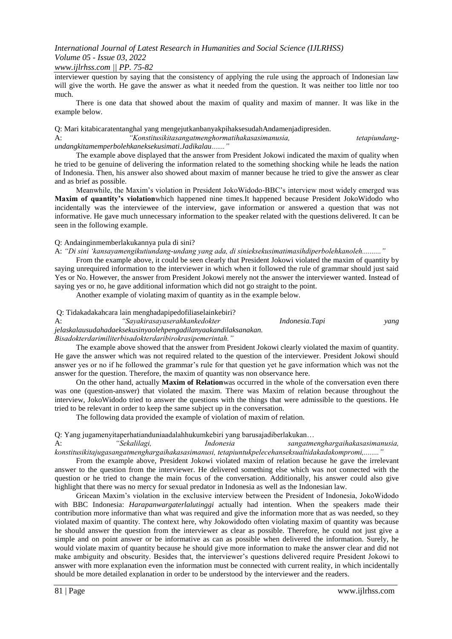#### *www.ijlrhss.com || PP. 75-82*

interviewer question by saying that the consistency of applying the rule using the approach of Indonesian law will give the worth. He gave the answer as what it needed from the question. It was neither too little nor too much.

There is one data that showed about the maxim of quality and maxim of manner. It was like in the example below.

Q: Mari kitabicaratentanghal yang mengejutkanbanyakpihaksesudahAndamenjadipresiden.

A: *"Konstitusikitasangatmenghormatihakasasimanusia, tetapiundangundangkitamemperbolehkaneksekusimati.Jadikalau......."*

The example above displayed that the answer from President Jokowi indicated the maxim of quality when he tried to be genuine of delivering the information related to the something shocking while he leads the nation of Indonesia. Then, his answer also showed about maxim of manner because he tried to give the answer as clear and as brief as possible.

Meanwhile, the Maxim"s violation in President JokoWidodo-BBC"s interview most widely emerged was **Maxim of quantity's violation**which happened nine times.It happened because President JokoWidodo who incidentally was the interviewee of the interview, gave information or answered a question that was not informative. He gave much unnecessary information to the speaker related with the questions delivered. It can be seen in the following example.

Q: Andainginmemberlakukannya pula di sini?

A: *"Di sini "kansayamengikutiundang-undang yang ada, di sinieksekusimatimasihdiperbolehkanoleh.........."*

From the example above, it could be seen clearly that President Jokowi violated the maxim of quantity by saying unrequired information to the interviewer in which when it followed the rule of grammar should just said Yes or No. However, the answer from President Jokowi merely not the answer the interviewer wanted. Instead of saying yes or no, he gave additional information which did not go straight to the point.

Another example of violating maxim of quantity as in the example below.

Q: Tidakadakahcara lain menghadapipedofiliaselainkebiri?

A: *"Sayakirasayaserahkankedokter Indonesia.Tapi yang jelaskalausudahadaeksekusinyaolehpengadilanyaakandilaksanakan. Bisadokterdarimiliterbisadokterdaribirokrasipemerintah."*

The example above showed that the answer from President Jokowi clearly violated the maxim of quantity. He gave the answer which was not required related to the question of the interviewer. President Jokowi should answer yes or no if he followed the grammar"s rule for that question yet he gave information which was not the answer for the question. Therefore, the maxim of quantity was non observance here.

On the other hand, actually **Maxim of Relation**was occurred in the whole of the conversation even there was one (question-answer) that violated the maxim. There was Maxim of relation because throughout the interview, JokoWidodo tried to answer the questions with the things that were admissible to the questions. He tried to be relevant in order to keep the same subject up in the conversation.

The following data provided the example of violation of maxim of relation.

Q: Yang jugamenyitaperhatianduniaadalahhukumkebiri yang barusajadiberlakukan…

A: *"Sekalilagi, Indonesia sangatmenghargaihakasasimanusia, konstitusikitajugasangatmenghargaihakasasimanusi, tetapiuntukpelecehanseksualtidakadakompromi,........"*

From the example above, President Jokowi violated maxim of relation because he gave the irrelevant answer to the question from the interviewer. He delivered something else which was not connected with the question or he tried to change the main focus of the conversation. Additionally, his answer could also give highlight that there was no mercy for sexual predator in Indonesia as well as the Indonesian law.

Gricean Maxim"s violation in the exclusive interview between the President of Indonesia, JokoWidodo with BBC Indonesia: *Harapanwargaterlalutinggi* actually had intention. When the speakers made their contribution more informative than what was required and give the information more that as was needed, so they violated maxim of quantity. The context here, why Jokowidodo often violating maxim of quantity was because he should answer the question from the interviewer as clear as possible. Therefore, he could not just give a simple and on point answer or be informative as can as possible when delivered the information. Surely, he would violate maxim of quantity because he should give more information to make the answer clear and did not make ambiguity and obscurity. Besides that, the interviewer"s questions delivered require President Jokowi to answer with more explanation even the information must be connected with current reality, in which incidentally should be more detailed explanation in order to be understood by the interviewer and the readers.